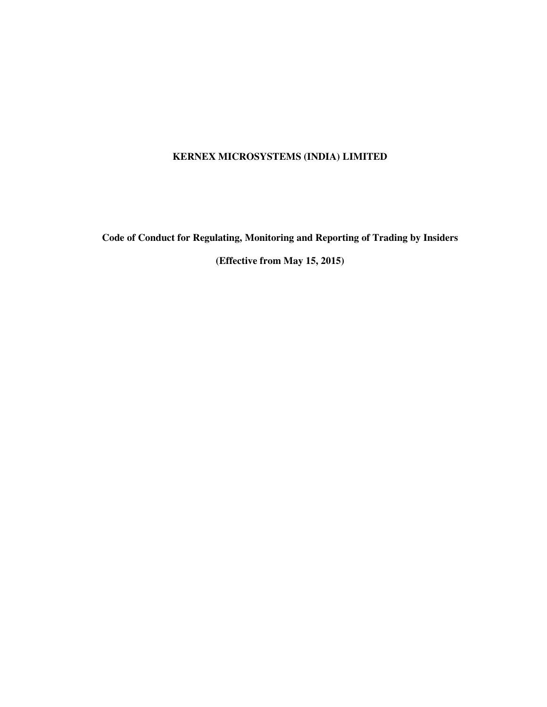## **KERNEX MICROSYSTEMS (INDIA) LIMITED**

**Code of Conduct for Regulating, Monitoring and Reporting of Trading by Insiders** 

**(Effective from May 15, 2015)**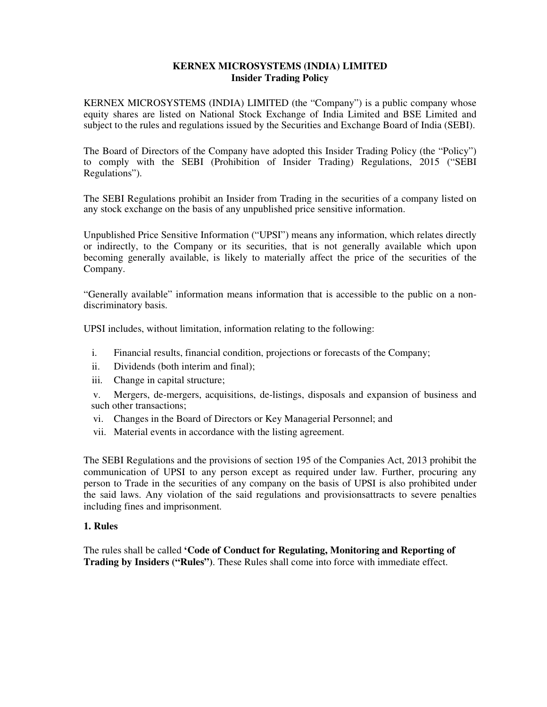## **KERNEX MICROSYSTEMS (INDIA) LIMITED Insider Trading Policy**

KERNEX MICROSYSTEMS (INDIA) LIMITED (the "Company") is a public company whose equity shares are listed on National Stock Exchange of India Limited and BSE Limited and subject to the rules and regulations issued by the Securities and Exchange Board of India (SEBI).

The Board of Directors of the Company have adopted this Insider Trading Policy (the "Policy") to comply with the SEBI (Prohibition of Insider Trading) Regulations, 2015 ("SEBI Regulations").

The SEBI Regulations prohibit an Insider from Trading in the securities of a company listed on any stock exchange on the basis of any unpublished price sensitive information.

Unpublished Price Sensitive Information ("UPSI") means any information, which relates directly or indirectly, to the Company or its securities, that is not generally available which upon becoming generally available, is likely to materially affect the price of the securities of the Company.

"Generally available" information means information that is accessible to the public on a nondiscriminatory basis.

UPSI includes, without limitation, information relating to the following:

- i. Financial results, financial condition, projections or forecasts of the Company;
- ii. Dividends (both interim and final);
- iii. Change in capital structure;

v. Mergers, de-mergers, acquisitions, de-listings, disposals and expansion of business and such other transactions;

- vi. Changes in the Board of Directors or Key Managerial Personnel; and
- vii. Material events in accordance with the listing agreement.

The SEBI Regulations and the provisions of section 195 of the Companies Act, 2013 prohibit the communication of UPSI to any person except as required under law. Further, procuring any person to Trade in the securities of any company on the basis of UPSI is also prohibited under the said laws. Any violation of the said regulations and provisionsattracts to severe penalties including fines and imprisonment.

#### **1. Rules**

The rules shall be called **'Code of Conduct for Regulating, Monitoring and Reporting of Trading by Insiders ("Rules")**. These Rules shall come into force with immediate effect.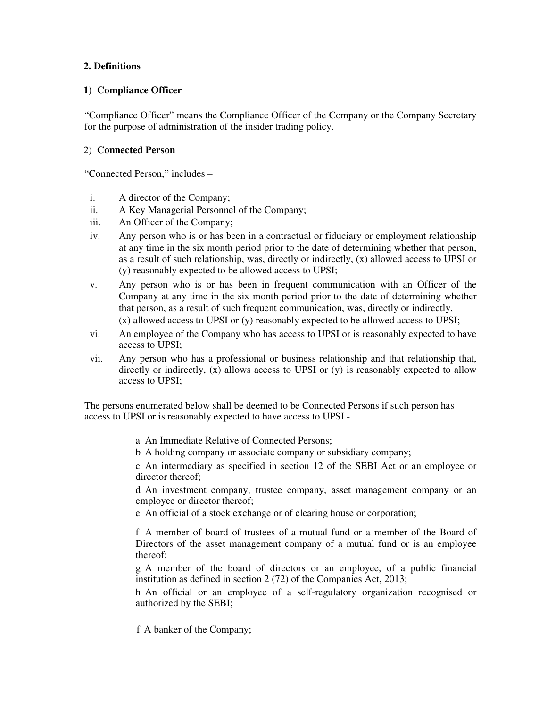## **2. Definitions**

## **1) Compliance Officer**

"Compliance Officer" means the Compliance Officer of the Company or the Company Secretary for the purpose of administration of the insider trading policy.

## 2) **Connected Person**

"Connected Person," includes –

- i. A director of the Company;
- ii. A Key Managerial Personnel of the Company;
- iii. An Officer of the Company;
- iv. Any person who is or has been in a contractual or fiduciary or employment relationship at any time in the six month period prior to the date of determining whether that person, as a result of such relationship, was, directly or indirectly, (x) allowed access to UPSI or (y) reasonably expected to be allowed access to UPSI;
- v. Any person who is or has been in frequent communication with an Officer of the Company at any time in the six month period prior to the date of determining whether that person, as a result of such frequent communication, was, directly or indirectly, (x) allowed access to UPSI or (y) reasonably expected to be allowed access to UPSI;
- vi. An employee of the Company who has access to UPSI or is reasonably expected to have access to UPSI;
- vii. Any person who has a professional or business relationship and that relationship that, directly or indirectly,  $(x)$  allows access to UPSI or  $(y)$  is reasonably expected to allow access to UPSI;

The persons enumerated below shall be deemed to be Connected Persons if such person has access to UPSI or is reasonably expected to have access to UPSI -

- a An Immediate Relative of Connected Persons;
- b A holding company or associate company or subsidiary company;

c An intermediary as specified in section 12 of the SEBI Act or an employee or director thereof:

d An investment company, trustee company, asset management company or an employee or director thereof;

e An official of a stock exchange or of clearing house or corporation;

f A member of board of trustees of a mutual fund or a member of the Board of Directors of the asset management company of a mutual fund or is an employee thereof;

g A member of the board of directors or an employee, of a public financial institution as defined in section 2 (72) of the Companies Act, 2013;

h An official or an employee of a self-regulatory organization recognised or authorized by the SEBI;

f A banker of the Company;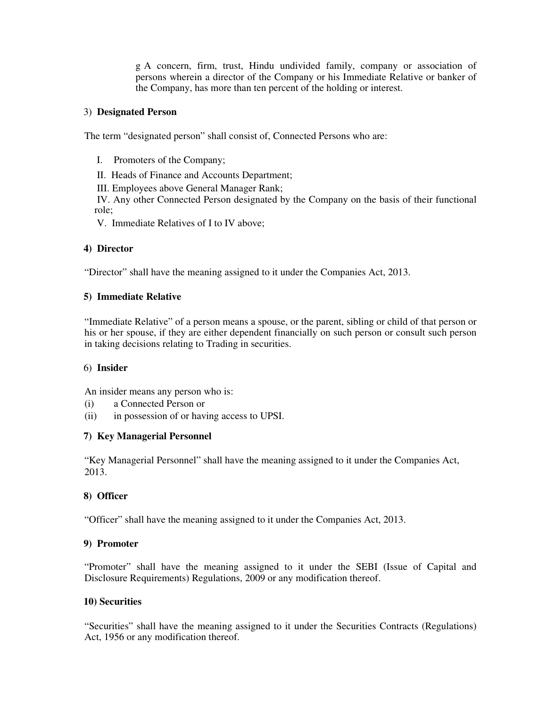g A concern, firm, trust, Hindu undivided family, company or association of persons wherein a director of the Company or his Immediate Relative or banker of the Company, has more than ten percent of the holding or interest.

### 3) **Designated Person**

The term "designated person" shall consist of, Connected Persons who are:

- I. Promoters of the Company;
- II. Heads of Finance and Accounts Department;

III. Employees above General Manager Rank;

IV. Any other Connected Person designated by the Company on the basis of their functional role;

V. Immediate Relatives of I to IV above;

## **4) Director**

"Director" shall have the meaning assigned to it under the Companies Act, 2013.

## **5) Immediate Relative**

"Immediate Relative" of a person means a spouse, or the parent, sibling or child of that person or his or her spouse, if they are either dependent financially on such person or consult such person in taking decisions relating to Trading in securities.

#### 6) **Insider**

An insider means any person who is:

- (i) a Connected Person or
- (ii) in possession of or having access to UPSI.

#### **7) Key Managerial Personnel**

"Key Managerial Personnel" shall have the meaning assigned to it under the Companies Act, 2013.

## **8) Officer**

"Officer" shall have the meaning assigned to it under the Companies Act, 2013.

#### **9) Promoter**

"Promoter" shall have the meaning assigned to it under the SEBI (Issue of Capital and Disclosure Requirements) Regulations, 2009 or any modification thereof.

#### **10) Securities**

"Securities" shall have the meaning assigned to it under the Securities Contracts (Regulations) Act, 1956 or any modification thereof.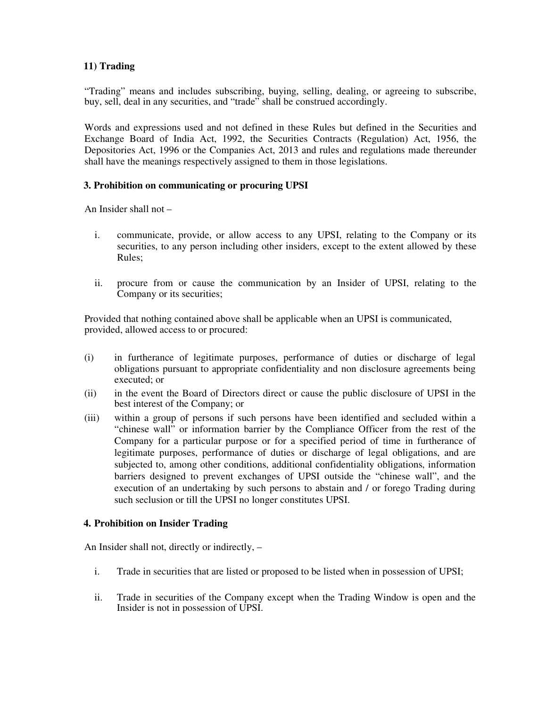## **11) Trading**

"Trading" means and includes subscribing, buying, selling, dealing, or agreeing to subscribe, buy, sell, deal in any securities, and "trade" shall be construed accordingly.

Words and expressions used and not defined in these Rules but defined in the Securities and Exchange Board of India Act, 1992, the Securities Contracts (Regulation) Act, 1956, the Depositories Act, 1996 or the Companies Act, 2013 and rules and regulations made thereunder shall have the meanings respectively assigned to them in those legislations.

#### **3. Prohibition on communicating or procuring UPSI**

An Insider shall not –

- i. communicate, provide, or allow access to any UPSI, relating to the Company or its securities, to any person including other insiders, except to the extent allowed by these Rules;
- ii. procure from or cause the communication by an Insider of UPSI, relating to the Company or its securities;

Provided that nothing contained above shall be applicable when an UPSI is communicated, provided, allowed access to or procured:

- (i) in furtherance of legitimate purposes, performance of duties or discharge of legal obligations pursuant to appropriate confidentiality and non disclosure agreements being executed; or
- (ii) in the event the Board of Directors direct or cause the public disclosure of UPSI in the best interest of the Company; or
- (iii) within a group of persons if such persons have been identified and secluded within a "chinese wall" or information barrier by the Compliance Officer from the rest of the Company for a particular purpose or for a specified period of time in furtherance of legitimate purposes, performance of duties or discharge of legal obligations, and are subjected to, among other conditions, additional confidentiality obligations, information barriers designed to prevent exchanges of UPSI outside the "chinese wall", and the execution of an undertaking by such persons to abstain and / or forego Trading during such seclusion or till the UPSI no longer constitutes UPSI.

## **4. Prohibition on Insider Trading**

An Insider shall not, directly or indirectly, –

- i. Trade in securities that are listed or proposed to be listed when in possession of UPSI;
- ii. Trade in securities of the Company except when the Trading Window is open and the Insider is not in possession of UPSI.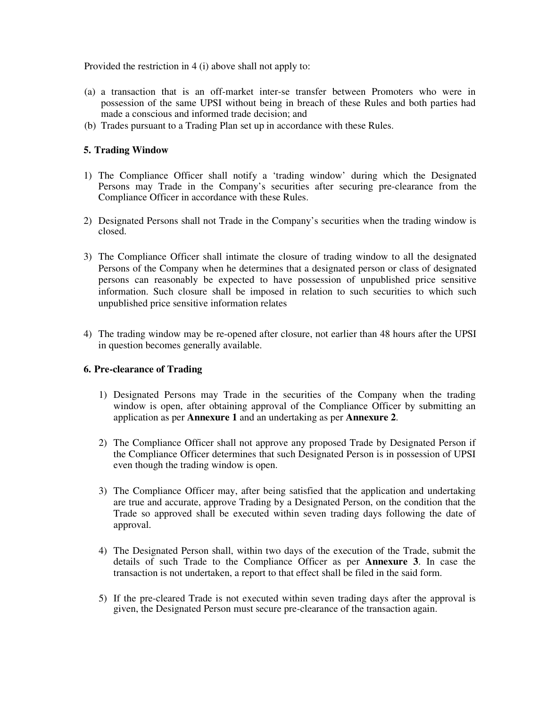Provided the restriction in 4 (i) above shall not apply to:

- (a) a transaction that is an off-market inter-se transfer between Promoters who were in possession of the same UPSI without being in breach of these Rules and both parties had made a conscious and informed trade decision; and
- (b) Trades pursuant to a Trading Plan set up in accordance with these Rules.

#### **5. Trading Window**

- 1) The Compliance Officer shall notify a 'trading window' during which the Designated Persons may Trade in the Company's securities after securing pre-clearance from the Compliance Officer in accordance with these Rules.
- 2) Designated Persons shall not Trade in the Company's securities when the trading window is closed.
- 3) The Compliance Officer shall intimate the closure of trading window to all the designated Persons of the Company when he determines that a designated person or class of designated persons can reasonably be expected to have possession of unpublished price sensitive information. Such closure shall be imposed in relation to such securities to which such unpublished price sensitive information relates
- 4) The trading window may be re-opened after closure, not earlier than 48 hours after the UPSI in question becomes generally available.

#### **6. Pre-clearance of Trading**

- 1) Designated Persons may Trade in the securities of the Company when the trading window is open, after obtaining approval of the Compliance Officer by submitting an application as per **Annexure 1** and an undertaking as per **Annexure 2**.
- 2) The Compliance Officer shall not approve any proposed Trade by Designated Person if the Compliance Officer determines that such Designated Person is in possession of UPSI even though the trading window is open.
- 3) The Compliance Officer may, after being satisfied that the application and undertaking are true and accurate, approve Trading by a Designated Person, on the condition that the Trade so approved shall be executed within seven trading days following the date of approval.
- 4) The Designated Person shall, within two days of the execution of the Trade, submit the details of such Trade to the Compliance Officer as per **Annexure 3**. In case the transaction is not undertaken, a report to that effect shall be filed in the said form.
- 5) If the pre-cleared Trade is not executed within seven trading days after the approval is given, the Designated Person must secure pre-clearance of the transaction again.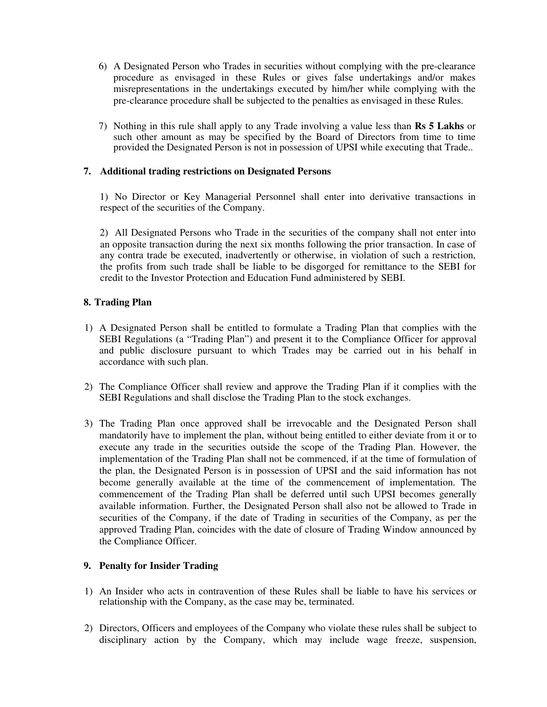- 6) A Designated Person who Trades in securities without complying with the pre-clearance procedure as envisaged in these Rules or gives false undertakings and/or makes misrepresentations in the undertakings executed by him/her while complying with the pre-clearance procedure shall be subjected to the penalties as envisaged in these Rules.
- 7) Nothing in this rule shall apply to any Trade involving a value less than **Rs 5 Lakhs** or such other amount as may be specified by the Board of Directors from time to time provided the Designated Person is not in possession of UPSI while executing that Trade..

## **7. Additional trading restrictions on Designated Persons**

1) No Director or Key Managerial Personnel shall enter into derivative transactions in respect of the securities of the Company.

2) All Designated Persons who Trade in the securities of the company shall not enter into an opposite transaction during the next six months following the prior transaction. In case of any contra trade be executed, inadvertently or otherwise, in violation of such a restriction, the profits from such trade shall be liable to be disgorged for remittance to the SEBI for credit to the Investor Protection and Education Fund administered by SEBI.

## **8. Trading Plan**

- 1) A Designated Person shall be entitled to formulate a Trading Plan that complies with the SEBI Regulations (a "Trading Plan") and present it to the Compliance Officer for approval and public disclosure pursuant to which Trades may be carried out in his behalf in accordance with such plan.
- 2) The Compliance Officer shall review and approve the Trading Plan if it complies with the SEBI Regulations and shall disclose the Trading Plan to the stock exchanges.
- 3) The Trading Plan once approved shall be irrevocable and the Designated Person shall mandatorily have to implement the plan, without being entitled to either deviate from it or to execute any trade in the securities outside the scope of the Trading Plan. However, the implementation of the Trading Plan shall not be commenced, if at the time of formulation of the plan, the Designated Person is in possession of UPSI and the said information has not become generally available at the time of the commencement of implementation. The commencement of the Trading Plan shall be deferred until such UPSI becomes generally available information. Further, the Designated Person shall also not be allowed to Trade in securities of the Company, if the date of Trading in securities of the Company, as per the approved Trading Plan, coincides with the date of closure of Trading Window announced by the Compliance Officer.

#### **9. Penalty for Insider Trading**

- 1) An Insider who acts in contravention of these Rules shall be liable to have his services or relationship with the Company, as the case may be, terminated.
- 2) Directors, Officers and employees of the Company who violate these rules shall be subject to disciplinary action by the Company, which may include wage freeze, suspension,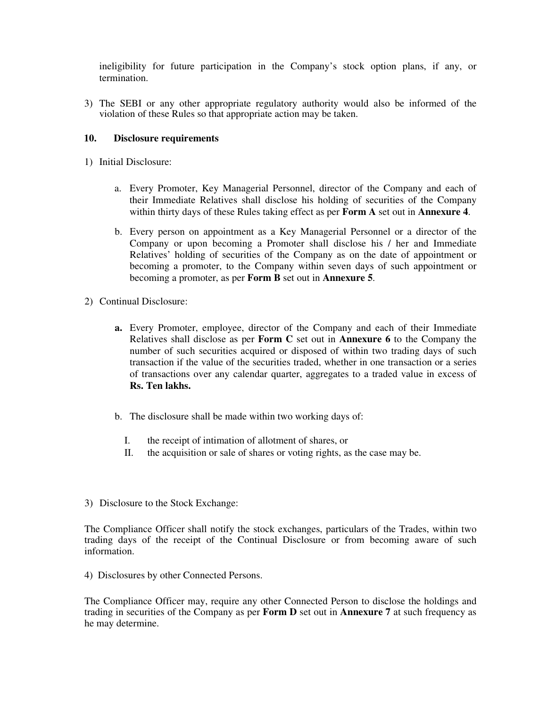ineligibility for future participation in the Company's stock option plans, if any, or termination.

3) The SEBI or any other appropriate regulatory authority would also be informed of the violation of these Rules so that appropriate action may be taken.

## **10. Disclosure requirements**

- 1) Initial Disclosure:
	- a. Every Promoter, Key Managerial Personnel, director of the Company and each of their Immediate Relatives shall disclose his holding of securities of the Company within thirty days of these Rules taking effect as per **Form A** set out in **Annexure 4**.
	- b. Every person on appointment as a Key Managerial Personnel or a director of the Company or upon becoming a Promoter shall disclose his / her and Immediate Relatives' holding of securities of the Company as on the date of appointment or becoming a promoter, to the Company within seven days of such appointment or becoming a promoter, as per **Form B** set out in **Annexure 5**.
- 2) Continual Disclosure:
	- **a.** Every Promoter, employee, director of the Company and each of their Immediate Relatives shall disclose as per **Form C** set out in **Annexure 6** to the Company the number of such securities acquired or disposed of within two trading days of such transaction if the value of the securities traded, whether in one transaction or a series of transactions over any calendar quarter, aggregates to a traded value in excess of **Rs. Ten lakhs.**
	- b. The disclosure shall be made within two working days of:
		- I. the receipt of intimation of allotment of shares, or
		- II. the acquisition or sale of shares or voting rights, as the case may be.
- 3) Disclosure to the Stock Exchange:

The Compliance Officer shall notify the stock exchanges, particulars of the Trades, within two trading days of the receipt of the Continual Disclosure or from becoming aware of such information.

4) Disclosures by other Connected Persons.

The Compliance Officer may, require any other Connected Person to disclose the holdings and trading in securities of the Company as per **Form D** set out in **Annexure 7** at such frequency as he may determine.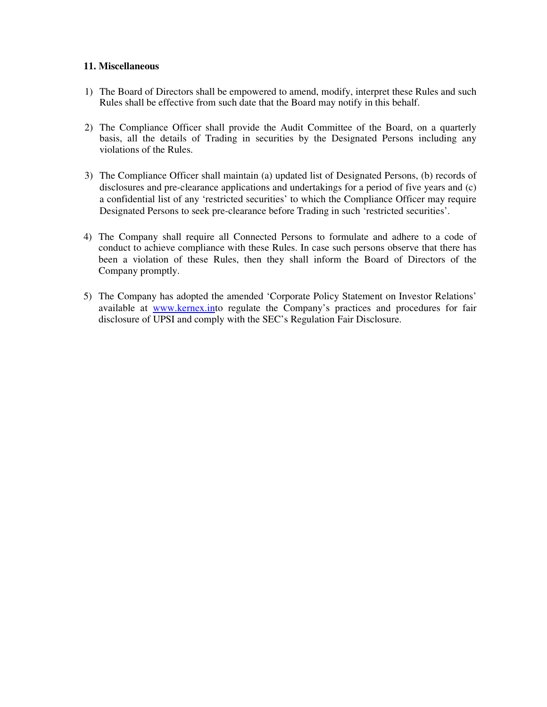#### **11. Miscellaneous**

- 1) The Board of Directors shall be empowered to amend, modify, interpret these Rules and such Rules shall be effective from such date that the Board may notify in this behalf.
- 2) The Compliance Officer shall provide the Audit Committee of the Board, on a quarterly basis, all the details of Trading in securities by the Designated Persons including any violations of the Rules.
- 3) The Compliance Officer shall maintain (a) updated list of Designated Persons, (b) records of disclosures and pre-clearance applications and undertakings for a period of five years and (c) a confidential list of any 'restricted securities' to which the Compliance Officer may require Designated Persons to seek pre-clearance before Trading in such 'restricted securities'.
- 4) The Company shall require all Connected Persons to formulate and adhere to a code of conduct to achieve compliance with these Rules. In case such persons observe that there has been a violation of these Rules, then they shall inform the Board of Directors of the Company promptly.
- 5) The Company has adopted the amended 'Corporate Policy Statement on Investor Relations' available at www.kernex.into regulate the Company's practices and procedures for fair disclosure of UPSI and comply with the SEC's Regulation Fair Disclosure.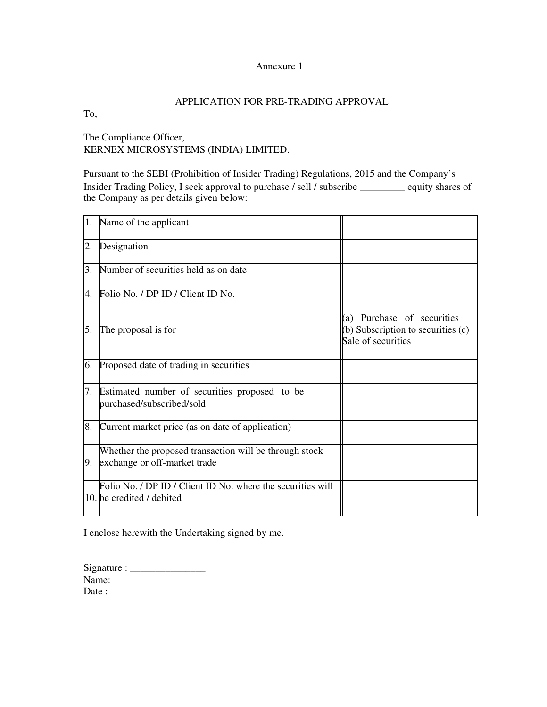#### Annexure 1

### APPLICATION FOR PRE-TRADING APPROVAL

To,

The Compliance Officer, KERNEX MICROSYSTEMS (INDIA) LIMITED.

Pursuant to the SEBI (Prohibition of Insider Trading) Regulations, 2015 and the Company's Insider Trading Policy, I seek approval to purchase / sell / subscribe \_\_\_\_\_\_\_\_\_ equity shares of the Company as per details given below:

| 1. | Name of the applicant                                                                     |                                                                                        |
|----|-------------------------------------------------------------------------------------------|----------------------------------------------------------------------------------------|
| 2. | Designation                                                                               |                                                                                        |
| 3. | Number of securities held as on date                                                      |                                                                                        |
| 4. | Folio No. / DP ID / Client ID No.                                                         |                                                                                        |
| 5. | The proposal is for                                                                       | (a) Purchase of securities<br>(b) Subscription to securities (c)<br>Sale of securities |
|    | 6. Proposed date of trading in securities                                                 |                                                                                        |
|    | 7. Estimated number of securities proposed to be<br>purchased/subscribed/sold             |                                                                                        |
| 8. | Current market price (as on date of application)                                          |                                                                                        |
|    | Whether the proposed transaction will be through stock<br>9. exchange or off-market trade |                                                                                        |
|    | Folio No. / DP ID / Client ID No. where the securities will<br>10. be credited / debited  |                                                                                        |

I enclose herewith the Undertaking signed by me.

Signature : \_\_\_\_\_\_\_\_\_\_\_\_\_\_\_ Name: Date: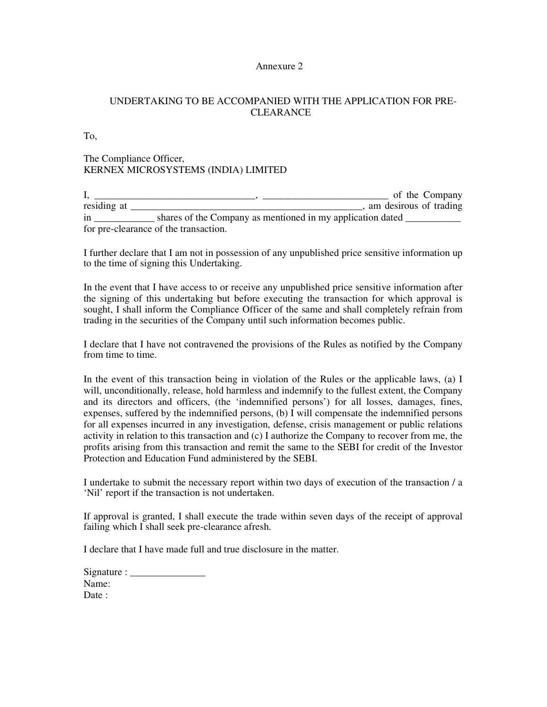#### Annexure 2

## UNDERTAKING TO BE ACCOMPANIED WITH THE APPLICATION FOR PRE-CLEARANCE

To,

## The Compliance Officer, KERNEX MICROSYSTEMS (INDIA) LIMITED

I, \_\_\_\_\_\_\_\_\_\_\_\_\_\_\_\_\_\_\_\_\_\_\_\_\_\_\_\_\_\_\_\_, \_\_\_\_\_\_\_\_\_\_\_\_\_\_\_\_\_\_\_\_\_\_\_\_\_ of the Company residing at \_\_\_\_\_\_\_\_\_\_\_\_\_\_\_\_\_\_\_\_\_\_\_\_\_\_\_\_\_\_\_\_\_\_\_\_\_\_\_\_\_\_\_\_\_\_, am desirous of trading in \_\_\_\_\_\_\_\_\_\_\_\_\_\_\_ shares of the Company as mentioned in my application dated \_\_\_\_\_\_\_\_\_\_\_\_ for pre-clearance of the transaction.

I further declare that I am not in possession of any unpublished price sensitive information up to the time of signing this Undertaking.

In the event that I have access to or receive any unpublished price sensitive information after the signing of this undertaking but before executing the transaction for which approval is sought, I shall inform the Compliance Officer of the same and shall completely refrain from trading in the securities of the Company until such information becomes public.

I declare that I have not contravened the provisions of the Rules as notified by the Company from time to time.

In the event of this transaction being in violation of the Rules or the applicable laws, (a) I will, unconditionally, release, hold harmless and indemnify to the fullest extent, the Company and its directors and officers, (the 'indemnified persons') for all losses, damages, fines, expenses, suffered by the indemnified persons, (b) I will compensate the indemnified persons for all expenses incurred in any investigation, defense, crisis management or public relations activity in relation to this transaction and (c) I authorize the Company to recover from me, the profits arising from this transaction and remit the same to the SEBI for credit of the Investor Protection and Education Fund administered by the SEBI.

I undertake to submit the necessary report within two days of execution of the transaction / a 'Nil' report if the transaction is not undertaken.

If approval is granted, I shall execute the trade within seven days of the receipt of approval failing which I shall seek pre-clearance afresh.

I declare that I have made full and true disclosure in the matter.

| Signature : $\frac{ }{ }$ |  |
|---------------------------|--|
| Name:                     |  |
| Date :                    |  |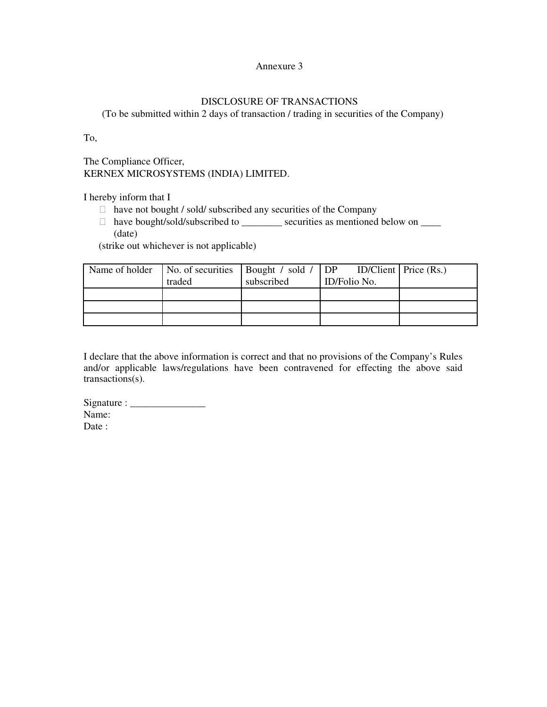#### Annexure 3

### DISCLOSURE OF TRANSACTIONS

(To be submitted within 2 days of transaction / trading in securities of the Company)

To,

The Compliance Officer, KERNEX MICROSYSTEMS (INDIA) LIMITED.

I hereby inform that I

have not bought / sold/ subscribed any securities of the Company

have bought/sold/subscribed to \_\_\_\_\_\_\_\_\_\_ securities as mentioned below on \_\_\_\_\_ (date)

(strike out whichever is not applicable)

|        |            | Name of holder   No. of securities   Bought / sold / $DP$ ID/Client   Price (Rs.) |  |
|--------|------------|-----------------------------------------------------------------------------------|--|
| traded | subscribed | ID/Folio No.                                                                      |  |
|        |            |                                                                                   |  |
|        |            |                                                                                   |  |
|        |            |                                                                                   |  |

I declare that the above information is correct and that no provisions of the Company's Rules and/or applicable laws/regulations have been contravened for effecting the above said transactions(s).

 $Signature:$ Name: Date :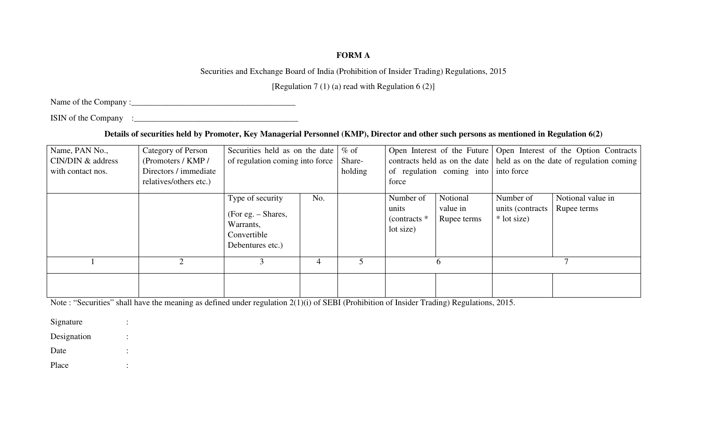# **FORM A**

Securities and Exchange Board of India (Prohibition of Insider Trading) Regulations, 2015

[Regulation 7 (1) (a) read with Regulation 6 (2)]

Name of the Company :\_\_\_\_\_\_\_\_\_\_\_\_\_\_\_\_\_\_\_\_\_\_\_\_\_\_\_\_\_\_\_\_\_\_\_\_\_\_\_

ISIN of the Company :\_\_\_\_\_\_\_\_\_\_\_\_\_\_\_\_\_\_\_\_\_\_\_\_\_\_\_\_\_\_\_\_\_\_\_\_\_\_\_

**Details of securities held by Promoter, Key Managerial Personnel (KMP), Director and other such persons as mentioned in Regulation 6(2)** 

| Name, PAN No.,<br>CIN/DIN & address | Category of Person<br>(Promoters / KMP /        | Securities held as on the date<br>of regulation coming into force                      | $%$ of<br>Share- |         | Open Interest of the Future<br>contracts held as on the date | Open Interest of the Option Contracts<br>held as on the date of regulation coming |                                               |                                  |  |  |
|-------------------------------------|-------------------------------------------------|----------------------------------------------------------------------------------------|------------------|---------|--------------------------------------------------------------|-----------------------------------------------------------------------------------|-----------------------------------------------|----------------------------------|--|--|
| with contact nos.                   | Directors / immediate<br>relatives/others etc.) |                                                                                        |                  | holding | force                                                        | of regulation coming into                                                         | into force                                    |                                  |  |  |
|                                     |                                                 | Type of security<br>(For eg. – Shares,<br>Warrants,<br>Convertible<br>Debentures etc.) | No.              |         | Number of<br>units<br>(contracts $*$<br>lot size)            | Notional<br>value in<br>Rupee terms                                               | Number of<br>units (contracts)<br>* lot size) | Notional value in<br>Rupee terms |  |  |
|                                     |                                                 |                                                                                        | $\overline{4}$   |         | <sub>n</sub>                                                 |                                                                                   |                                               |                                  |  |  |
|                                     |                                                 |                                                                                        |                  |         |                                                              |                                                                                   |                                               |                                  |  |  |

Note : "Securities" shall have the meaning as defined under regulation 2(1)(i) of SEBI (Prohibition of Insider Trading) Regulations, 2015.

Signature : Designation : Date :

Place :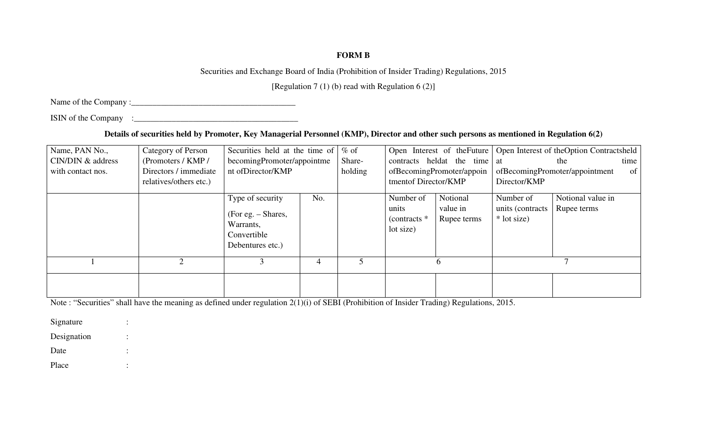## **FORM B**

Securities and Exchange Board of India (Prohibition of Insider Trading) Regulations, 2015

[Regulation 7 (1) (b) read with Regulation 6 (2)]

Name of the Company :\_\_\_\_\_\_\_\_\_\_\_\_\_\_\_\_\_\_\_\_\_\_\_\_\_\_\_\_\_\_\_\_\_\_\_\_\_\_\_

ISIN of the Company :\_\_\_\_\_\_\_\_\_\_\_\_\_\_\_\_\_\_\_\_\_\_\_\_\_\_\_\_\_\_\_\_\_\_\_\_\_\_\_

**Details of securities held by Promoter, Key Managerial Personnel (KMP), Director and other such persons as mentioned in Regulation 6(2)** 

| Name, PAN No.,    | Category of Person     | Securities held at the time of |        | $%$ of  |                           | Open Interest of the Future |                                | Open Interest of the Option Contractsheld |  |  |
|-------------------|------------------------|--------------------------------|--------|---------|---------------------------|-----------------------------|--------------------------------|-------------------------------------------|--|--|
| CIN/DIN & address | (Promoters / KMP /     | becomingPromoter/appointme     | Share- |         | contracts heldat the time | at                          | time  <br>the                  |                                           |  |  |
| with contact nos. | Directors / immediate  | nt of Director/KMP             |        | holding |                           | ofBecomingPromoter/appoin   | ofBecomingPromoter/appointment |                                           |  |  |
|                   | relatives/others etc.) |                                |        |         | tmentof Director/KMP      |                             | Director/KMP                   |                                           |  |  |
|                   |                        | Type of security               | No.    |         | Number of                 | Notional                    | Number of                      | Notional value in                         |  |  |
|                   |                        |                                |        |         | units                     | value in                    | units (contracts)              | Rupee terms                               |  |  |
|                   |                        | (For eg. – Shares,             |        |         | (contracts $*$            | Rupee terms                 | * lot size)                    |                                           |  |  |
|                   |                        | Warrants,<br>Convertible       |        |         | lot size)                 |                             |                                |                                           |  |  |
|                   |                        |                                |        |         |                           |                             |                                |                                           |  |  |
|                   |                        | Debentures etc.)               |        |         |                           |                             |                                |                                           |  |  |
|                   | ◠                      |                                | 4      |         | $\sigma$                  |                             |                                |                                           |  |  |
|                   |                        |                                |        |         |                           |                             |                                |                                           |  |  |
|                   |                        |                                |        |         |                           |                             |                                |                                           |  |  |

Note : "Securities" shall have the meaning as defined under regulation 2(1)(i) of SEBI (Prohibition of Insider Trading) Regulations, 2015.

Signature : Designation : Date : Place :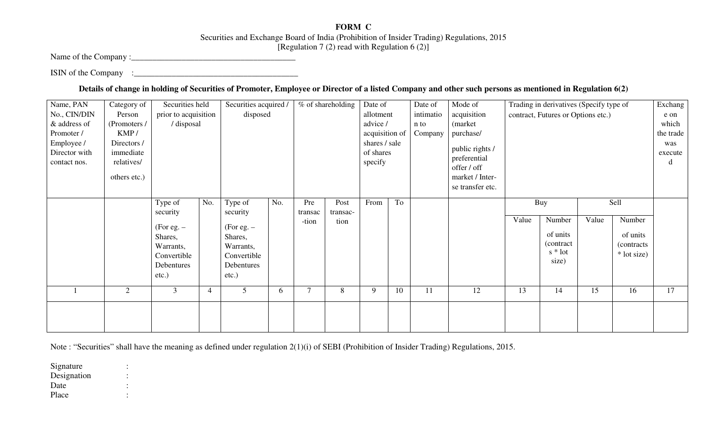## **FORM C**  Securities and Exchange Board of India (Prohibition of Insider Trading) Regulations, 2015 [Regulation 7  $(2)$  read with Regulation 6  $(2)$ ]

Name of the Company :\_\_\_\_\_\_\_\_\_\_\_\_\_\_\_\_\_\_\_\_\_\_\_\_\_\_\_\_\_\_\_\_\_\_\_\_\_\_\_

ISIN of the Company :\_\_\_\_\_\_\_\_\_\_\_\_\_\_\_\_\_\_\_\_\_\_\_\_\_\_\_\_\_\_\_\_\_\_\_\_\_\_\_

**Details of change in holding of Securities of Promoter, Employee or Director of a listed Company and other such persons as mentioned in Regulation 6(2)** 

| Name, PAN     | Category of  | Securities held      |                | Securities acquired |          | % of shareholding<br>Date of |               | Date of        | Mode of  | Trading in derivatives (Specify type of |                             |                                    |            | Exchang |             |           |
|---------------|--------------|----------------------|----------------|---------------------|----------|------------------------------|---------------|----------------|----------|-----------------------------------------|-----------------------------|------------------------------------|------------|---------|-------------|-----------|
| No., CIN/DIN  | Person       | prior to acquisition |                | disposed            |          |                              |               | allotment      |          | intimatio                               | acquisition                 | contract, Futures or Options etc.) |            |         | e on        |           |
| & address of  | (Promoters / | / disposal           |                |                     | advice / |                              | n to          |                | (market) |                                         |                             |                                    |            | which   |             |           |
| Promoter /    | KMP/         |                      |                |                     |          |                              |               | acquisition of |          | Company                                 | purchase/                   |                                    |            |         |             | the trade |
| Employee /    | Directors /  |                      |                |                     |          |                              | shares / sale |                |          | public rights /                         |                             |                                    |            |         | was         |           |
| Director with | immediate    |                      |                |                     |          |                              |               | of shares      |          |                                         |                             |                                    |            |         |             | execute   |
| contact nos.  | relatives/   |                      |                |                     |          |                              |               | specify        |          |                                         | preferential<br>offer / off |                                    |            |         |             | d         |
|               | others etc.) |                      |                |                     |          |                              |               |                |          |                                         | market / Inter-             |                                    |            |         |             |           |
|               |              |                      |                |                     |          |                              |               |                |          |                                         | se transfer etc.            |                                    |            |         |             |           |
|               |              |                      |                |                     |          |                              |               |                |          |                                         |                             |                                    |            |         |             |           |
|               |              | Type of              | No.            | Type of             | No.      | Pre                          | Post          | From           | To       |                                         |                             | Sell<br>Buy                        |            |         |             |           |
|               |              | security             |                | security            |          | transac                      | transac-      |                |          |                                         |                             |                                    |            |         |             |           |
|               |              | $(For e.g. -$        |                | $(For e.g. -$       |          | -tion                        | tion          |                |          |                                         |                             | Value                              | Number     | Value   | Number      |           |
|               |              | Shares,              |                | Shares,             |          |                              |               |                |          |                                         |                             |                                    | of units   |         | of units    |           |
|               |              | Warrants,            |                | Warrants,           |          |                              |               |                |          |                                         |                             |                                    | (contract) |         | (contracts) |           |
|               |              | Convertible          |                | Convertible         |          |                              |               |                |          |                                         |                             |                                    | $s *$ lot  |         | * lot size) |           |
|               |              | Debentures           |                | Debentures          |          |                              |               |                |          |                                         |                             |                                    | size)      |         |             |           |
|               |              | etc.)                |                | $etc.$ )            |          |                              |               |                |          |                                         |                             |                                    |            |         |             |           |
|               |              |                      |                |                     |          |                              |               |                |          |                                         |                             |                                    |            |         |             |           |
|               | 2            | $\mathfrak{Z}$       | $\overline{4}$ | 5                   | 6        | $\overline{7}$               | 8             | 9              | 10       | 11                                      | 12                          | 13                                 | 14         | 15      | 16          | 17        |
|               |              |                      |                |                     |          |                              |               |                |          |                                         |                             |                                    |            |         |             |           |
|               |              |                      |                |                     |          |                              |               |                |          |                                         |                             |                                    |            |         |             |           |
|               |              |                      |                |                     |          |                              |               |                |          |                                         |                             |                                    |            |         |             |           |

Note : "Securities" shall have the meaning as defined under regulation 2(1)(i) of SEBI (Prohibition of Insider Trading) Regulations, 2015.

Signature : Designation

Date

Place :

 $\sim$  :  $\sim$ 

 $\pm$